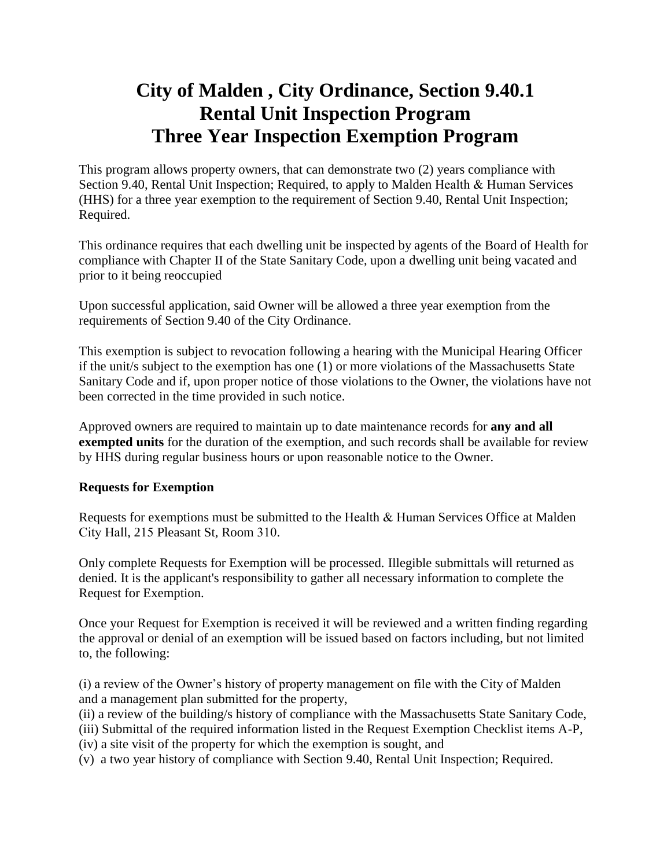# **City of Malden , City Ordinance, Section 9.40.1 Rental Unit Inspection Program Three Year Inspection Exemption Program**

This program allows property owners, that can demonstrate two (2) years compliance with Section 9.40, Rental Unit Inspection; Required, to apply to Malden Health & Human Services (HHS) for a three year exemption to the requirement of Section 9.40, Rental Unit Inspection; Required.

This ordinance requires that each dwelling unit be inspected by agents of the Board of Health for compliance with Chapter II of the State Sanitary Code, upon a dwelling unit being vacated and prior to it being reoccupied

Upon successful application, said Owner will be allowed a three year exemption from the requirements of Section 9.40 of the City Ordinance.

This exemption is subject to revocation following a hearing with the Municipal Hearing Officer if the unit/s subject to the exemption has one (1) or more violations of the Massachusetts State Sanitary Code and if, upon proper notice of those violations to the Owner, the violations have not been corrected in the time provided in such notice.

Approved owners are required to maintain up to date maintenance records for **any and all exempted units** for the duration of the exemption, and such records shall be available for review by HHS during regular business hours or upon reasonable notice to the Owner.

## **Requests for Exemption**

Requests for exemptions must be submitted to the Health & Human Services Office at Malden City Hall, 215 Pleasant St, Room 310.

Only complete Requests for Exemption will be processed. Illegible submittals will returned as denied. It is the applicant's responsibility to gather all necessary information to complete the Request for Exemption.

Once your Request for Exemption is received it will be reviewed and a written finding regarding the approval or denial of an exemption will be issued based on factors including, but not limited to, the following:

(i) a review of the Owner's history of property management on file with the City of Malden and a management plan submitted for the property,

(ii) a review of the building/s history of compliance with the Massachusetts State Sanitary Code,

(iii) Submittal of the required information listed in the Request Exemption Checklist items A-P,

(iv) a site visit of the property for which the exemption is sought, and

(v) a two year history of compliance with Section 9.40, Rental Unit Inspection; Required.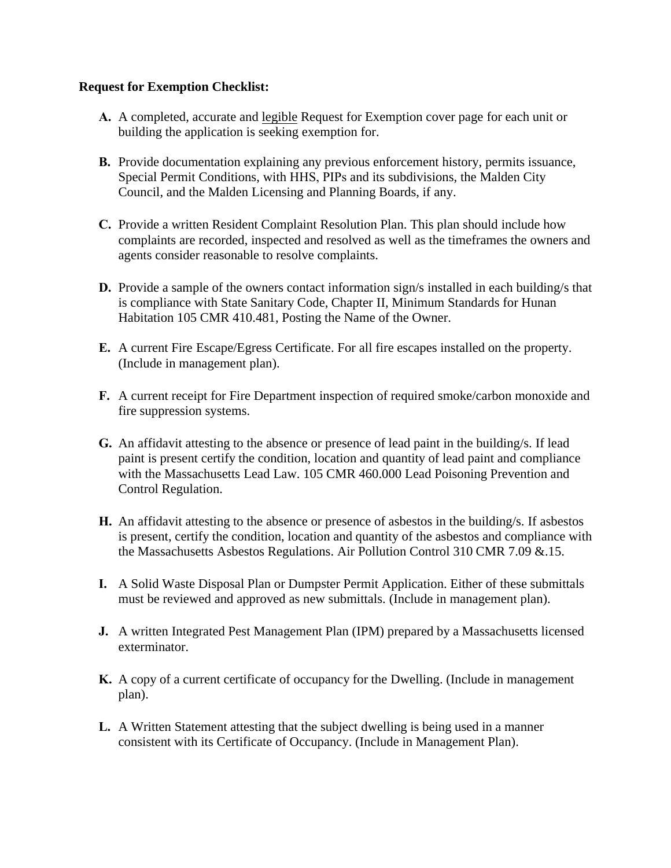#### **Request for Exemption Checklist:**

- **A.** A completed, accurate and legible Request for Exemption cover page for each unit or building the application is seeking exemption for.
- **B.** Provide documentation explaining any previous enforcement history, permits issuance, Special Permit Conditions, with HHS, PIPs and its subdivisions, the Malden City Council, and the Malden Licensing and Planning Boards, if any.
- **C.** Provide a written Resident Complaint Resolution Plan. This plan should include how complaints are recorded, inspected and resolved as well as the timeframes the owners and agents consider reasonable to resolve complaints.
- **D.** Provide a sample of the owners contact information sign/s installed in each building/s that is compliance with State Sanitary Code, Chapter II, Minimum Standards for Hunan Habitation 105 CMR 410.481, Posting the Name of the Owner.
- **E.** A current Fire Escape/Egress Certificate. For all fire escapes installed on the property. (Include in management plan).
- **F.** A current receipt for Fire Department inspection of required smoke/carbon monoxide and fire suppression systems.
- **G.** An affidavit attesting to the absence or presence of lead paint in the building/s. If lead paint is present certify the condition, location and quantity of lead paint and compliance with the Massachusetts Lead Law. 105 CMR 460.000 Lead Poisoning Prevention and Control Regulation.
- **H.** An affidavit attesting to the absence or presence of asbestos in the building/s. If asbestos is present, certify the condition, location and quantity of the asbestos and compliance with the Massachusetts Asbestos Regulations. Air Pollution Control 310 CMR 7.09 &.15.
- **I.** A Solid Waste Disposal Plan or Dumpster Permit Application. Either of these submittals must be reviewed and approved as new submittals. (Include in management plan).
- **J.** A written Integrated Pest Management Plan (IPM) prepared by a Massachusetts licensed exterminator.
- **K.** A copy of a current certificate of occupancy for the Dwelling. (Include in management plan).
- **L.** A Written Statement attesting that the subject dwelling is being used in a manner consistent with its Certificate of Occupancy. (Include in Management Plan).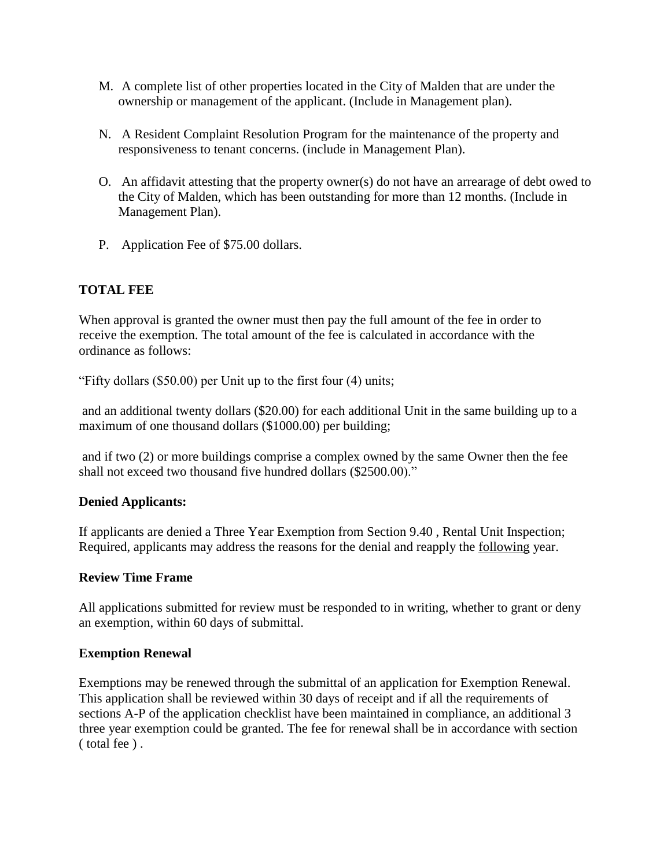- M. A complete list of other properties located in the City of Malden that are under the ownership or management of the applicant. (Include in Management plan).
- N. A Resident Complaint Resolution Program for the maintenance of the property and responsiveness to tenant concerns. (include in Management Plan).
- O. An affidavit attesting that the property owner(s) do not have an arrearage of debt owed to the City of Malden, which has been outstanding for more than 12 months. (Include in Management Plan).
- P. Application Fee of \$75.00 dollars.

## **TOTAL FEE**

When approval is granted the owner must then pay the full amount of the fee in order to receive the exemption. The total amount of the fee is calculated in accordance with the ordinance as follows:

"Fifty dollars (\$50.00) per Unit up to the first four (4) units;

and an additional twenty dollars (\$20.00) for each additional Unit in the same building up to a maximum of one thousand dollars (\$1000.00) per building;

and if two (2) or more buildings comprise a complex owned by the same Owner then the fee shall not exceed two thousand five hundred dollars (\$2500.00)."

## **Denied Applicants:**

If applicants are denied a Three Year Exemption from Section 9.40 , Rental Unit Inspection; Required, applicants may address the reasons for the denial and reapply the following year.

## **Review Time Frame**

All applications submitted for review must be responded to in writing, whether to grant or deny an exemption, within 60 days of submittal.

## **Exemption Renewal**

Exemptions may be renewed through the submittal of an application for Exemption Renewal. This application shall be reviewed within 30 days of receipt and if all the requirements of sections A-P of the application checklist have been maintained in compliance, an additional 3 three year exemption could be granted. The fee for renewal shall be in accordance with section ( total fee ) .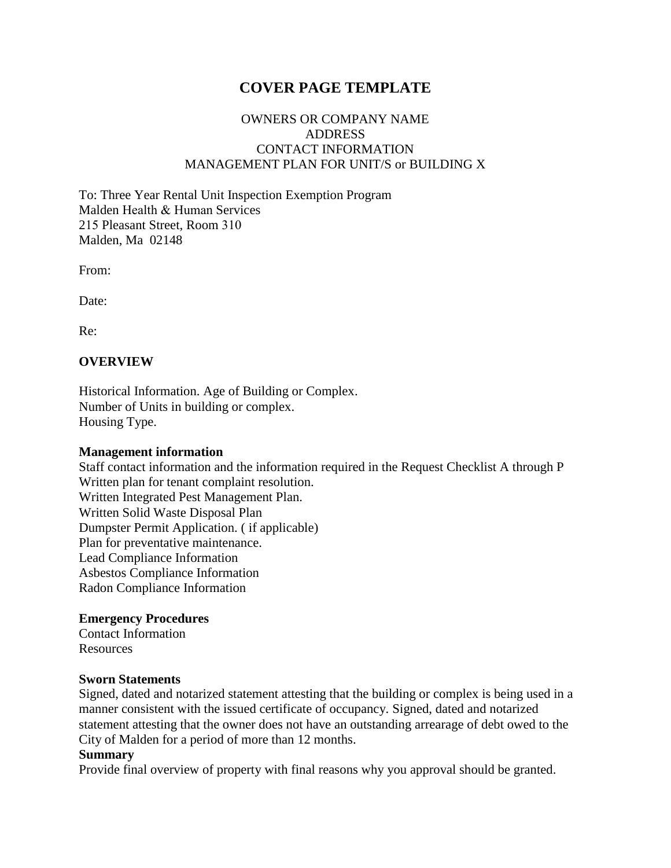# **COVER PAGE TEMPLATE**

## OWNERS OR COMPANY NAME ADDRESS CONTACT INFORMATION MANAGEMENT PLAN FOR UNIT/S or BUILDING X

To: Three Year Rental Unit Inspection Exemption Program Malden Health & Human Services 215 Pleasant Street, Room 310 Malden, Ma 02148

From:

Date:

Re:

#### **OVERVIEW**

Historical Information. Age of Building or Complex. Number of Units in building or complex. Housing Type.

#### **Management information**

Staff contact information and the information required in the Request Checklist A through P Written plan for tenant complaint resolution. Written Integrated Pest Management Plan. Written Solid Waste Disposal Plan Dumpster Permit Application. ( if applicable) Plan for preventative maintenance. Lead Compliance Information Asbestos Compliance Information Radon Compliance Information

#### **Emergency Procedures**

Contact Information Resources

#### **Sworn Statements**

Signed, dated and notarized statement attesting that the building or complex is being used in a manner consistent with the issued certificate of occupancy. Signed, dated and notarized statement attesting that the owner does not have an outstanding arrearage of debt owed to the City of Malden for a period of more than 12 months.

#### **Summary**

Provide final overview of property with final reasons why you approval should be granted.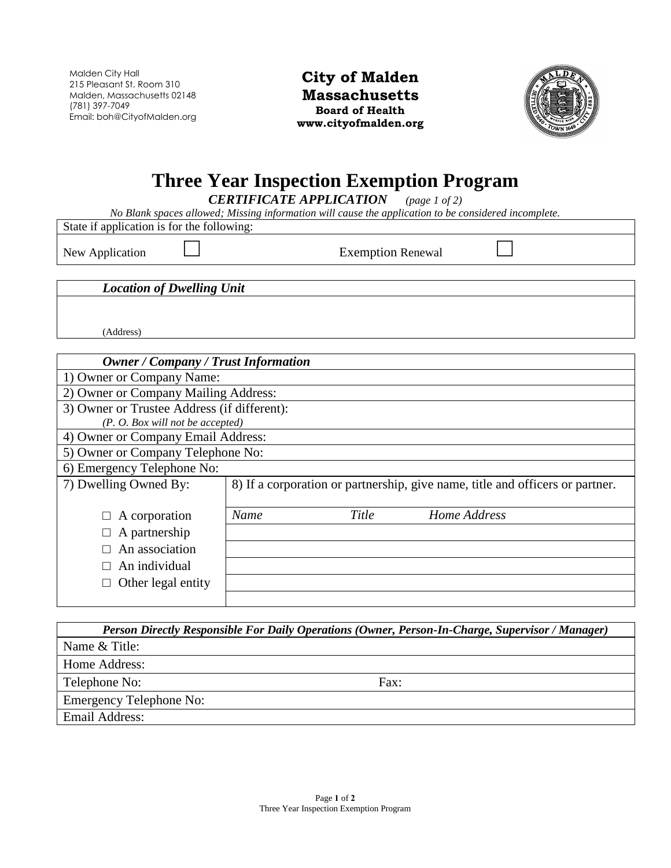Malden City Hall 215 Pleasant St. Room 310 Malden, Massachusetts 02148 (781) 397-7049 Email: boh@CityofMalden.org

**City of Malden Massachusetts Board of Health www.cityofmalden.org**



# **Three Year Inspection Exemption Program**

*CERTIFICATE APPLICATION (page 1 of 2)*

*No Blank spaces allowed; Missing information will cause the application to be considered incomplete.* 

State if application is for the following:

New Application □ Exemption Renewal □

*Location of Dwelling Unit*

(Address)

#### *Owner / Company / Trust Information*

1) Owner or Company Name:

2) Owner or Company Mailing Address:

3) Owner or Trustee Address (if different):

*(P. O. Box will not be accepted)*

4) Owner or Company Email Address:

5) Owner or Company Telephone No:

6) Emergency Telephone No:

| 7) Dwelling Owned By:                                                                                                      | 8) If a corporation or partnership, give name, title and officers or partner. |       |              |  |
|----------------------------------------------------------------------------------------------------------------------------|-------------------------------------------------------------------------------|-------|--------------|--|
| $\Box$ A corporation<br>$\Box$ A partnership<br>$\Box$ An association<br>$\Box$ An individual<br>$\Box$ Other legal entity | Name                                                                          | Title | Home Address |  |
|                                                                                                                            |                                                                               |       |              |  |

| Person Directly Responsible For Daily Operations (Owner, Person-In-Charge, Supervisor / Manager) |      |
|--------------------------------------------------------------------------------------------------|------|
| Name & Title:                                                                                    |      |
| Home Address:                                                                                    |      |
| Telephone No:                                                                                    | Fax: |
| <b>Emergency Telephone No:</b>                                                                   |      |
| Email Address:                                                                                   |      |